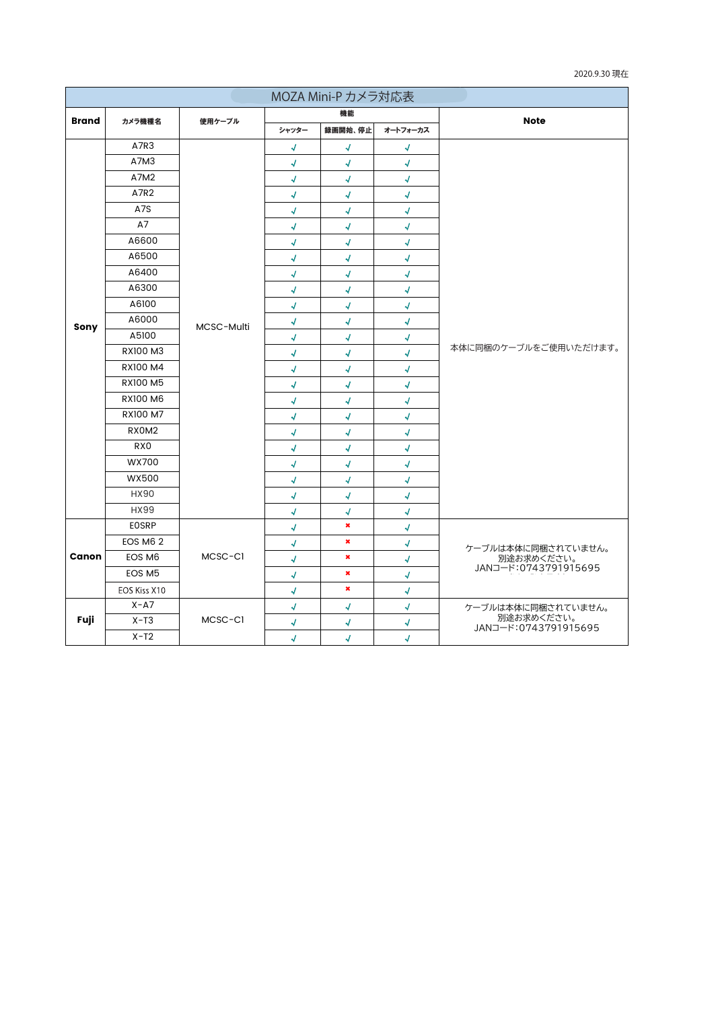| 2020.9.30 現在 |  |
|--------------|--|
|--------------|--|

| MOZA Mini-P カメラ対応表 |                 |            |                            |                          |               |                                    |  |  |
|--------------------|-----------------|------------|----------------------------|--------------------------|---------------|------------------------------------|--|--|
|                    |                 |            | 機能                         |                          |               | <b>Note</b>                        |  |  |
| Brand              | カメラ機種名          | 使用ケーブル     | シャッター                      | 録画開始、停止                  | オートフォーカス      |                                    |  |  |
|                    | A7R3            |            | √                          | √                        | √             |                                    |  |  |
|                    | A7M3            |            | 1                          | 1                        | 1             |                                    |  |  |
|                    | A7M2            |            | 4                          | $\sqrt{2}$               | $\mathcal{A}$ |                                    |  |  |
|                    | A7R2            |            | √                          | √                        | √             |                                    |  |  |
|                    | A7S             |            | $\boldsymbol{\mathcal{A}}$ | 4                        | 4             |                                    |  |  |
|                    | A7              |            | √                          | 4                        | √             |                                    |  |  |
|                    | A6600           |            | √                          | $\overline{\mathcal{A}}$ | √             |                                    |  |  |
|                    | A6500           |            | √                          | √                        | √             |                                    |  |  |
|                    | A6400           |            | √                          | √                        | √             |                                    |  |  |
|                    | A6300           |            | √                          | √                        | 4             |                                    |  |  |
|                    | A6100           |            | 1                          | $\sqrt{2}$               | 4             |                                    |  |  |
| Sony               | A6000           | MCSC-Multi | √                          | $\sqrt{2}$               | √             |                                    |  |  |
|                    | A5100           |            | $\sqrt{ }$                 | $\sqrt{2}$               | $\sqrt{2}$    |                                    |  |  |
|                    | RX100 M3        |            | 4                          | 4                        | √             | 本体に同梱のケーブルをご使用いただけます。              |  |  |
|                    | RX100 M4        |            | 1                          | √                        | √             |                                    |  |  |
|                    | RX100 M5        |            | 1                          | 4                        | 1             |                                    |  |  |
|                    | RX100 M6        |            | $\boldsymbol{\downarrow}$  | √                        | √             |                                    |  |  |
|                    | RX100 M7        |            | √                          | √                        | 4             |                                    |  |  |
|                    | RX0M2           |            | 4                          | 4                        | √             |                                    |  |  |
|                    | RX <sub>0</sub> |            | √                          | $\sqrt{2}$               | 1             |                                    |  |  |
|                    | WX700           |            | 1                          | $\sqrt{2}$               | $\sqrt{2}$    |                                    |  |  |
|                    | <b>WX500</b>    |            | √                          | √                        | √             |                                    |  |  |
|                    | <b>HX90</b>     |            | 4                          | $\sqrt{2}$               | √             |                                    |  |  |
|                    | HX99            |            | 1                          | √                        | 1             |                                    |  |  |
|                    | <b>EOSRP</b>    | MCSC-CI    | 1                          | $\pmb{\times}$           | 1             |                                    |  |  |
|                    | EOS M6 2        |            | √                          | $\pmb{\times}$           | √             | ケーブルは本体に同梱されていません。                 |  |  |
| Canon              | EOS M6          |            | 4                          | $\pmb{\times}$           | 4             | 別途お求めください。<br>JANコード:0743791915695 |  |  |
|                    | EOS M5          |            | 4                          | $\pmb{\times}$           | √             |                                    |  |  |
|                    | EOS Kiss X10    |            | $\sqrt{ }$                 | $\pmb{\times}$           | $\sqrt{2}$    |                                    |  |  |
|                    | $X - A7$        | MCSC-CI    | 1                          | √                        | √             | ケーブルは本体に同梱されていません。                 |  |  |
| Fuji               | $X-T3$          |            | 4                          | √                        | 4             | 別途お求めください。<br>JANコード:0743791915695 |  |  |
|                    | $X-T2$          |            | $\sqrt{2}$                 | √                        | √             |                                    |  |  |